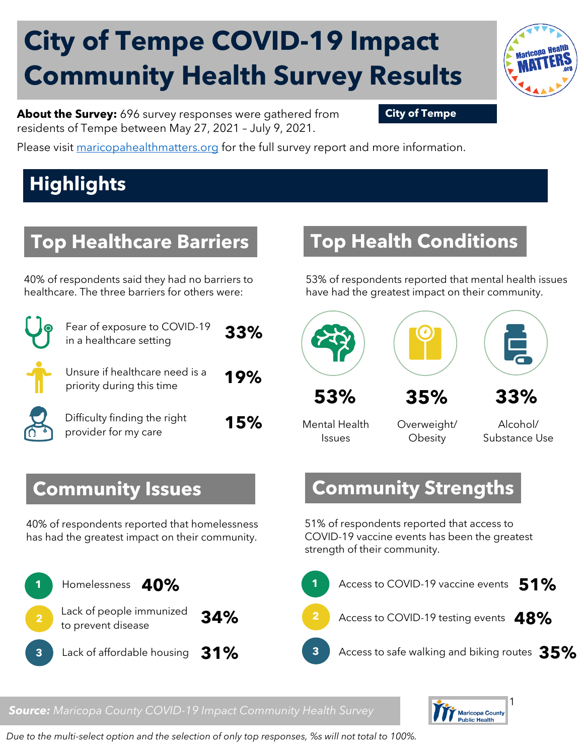# **City of Tempe COVID-19 Impact Community Health Survey Results**



Please visit [maricopahealthmatters.org](https://www.maricopa.gov/5100/Health-Data-Maricopa-Health-Matters) for the full survey report and more information.

## **Highlights**

#### **Top Healthcare Barriers**

40% of respondents said they had no barriers to healthcare. The three barriers for others were:

| Fear of exposure to COVID-19<br>in a healthcare setting     | 33% |
|-------------------------------------------------------------|-----|
| Unsure if healthcare need is a<br>priority during this time | 19% |
| Difficulty finding the right<br>provider for my care        | 15% |

#### **Top Health Conditions**

53% of respondents reported that mental health issues have had the greatest impact on their community.



Mental Health Issues

Overweight/ **Obesity** 

Alcohol/ Substance Use

#### **Community Issues**

40% of respondents reported that homelessness has had the greatest impact on their community.



#### **Community Strengths**

51% of respondents reported that access to COVID-19 vaccine events has been the greatest strength of their community.



*Source: Maricopa County COVID-19 Impact Community Health Survey*



*Due to the multi-select option and the selection of only top responses, %s will not total to 100%.*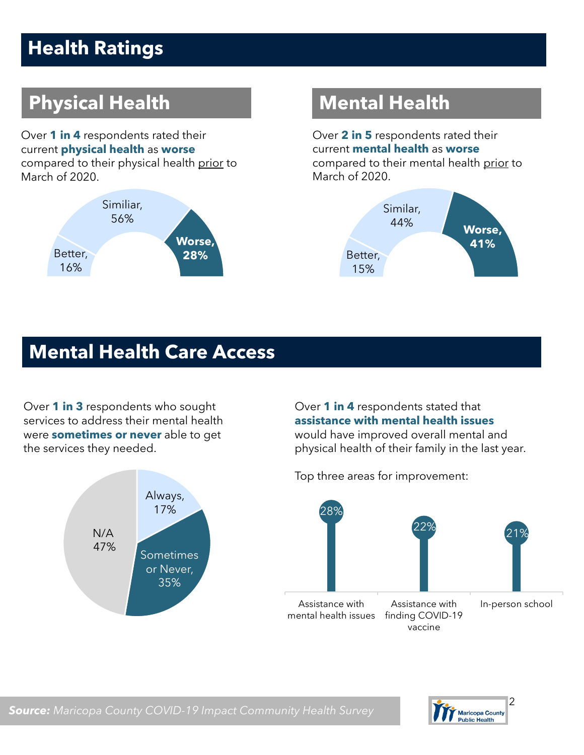## **Health Ratings**

## **Physical Health Mental Health**

Over **1 in 4** respondents rated their current **physical health** as **worse** compared to their physical health prior to March of 2020.



Over **2 in 5** respondents rated their current **mental health** as **worse** compared to their mental health prior to March of 2020.



#### **Mental Health Care Access**

Over **1 in 3** respondents who sought services to address their mental health were **sometimes or never** able to get the services they needed.



Over **1 in 4** respondents stated that **assistance with mental health issues**  would have improved overall mental and physical health of their family in the last year.

Top three areas for improvement:





*Source: Maricopa County COVID-19 Impact Community Health Survey*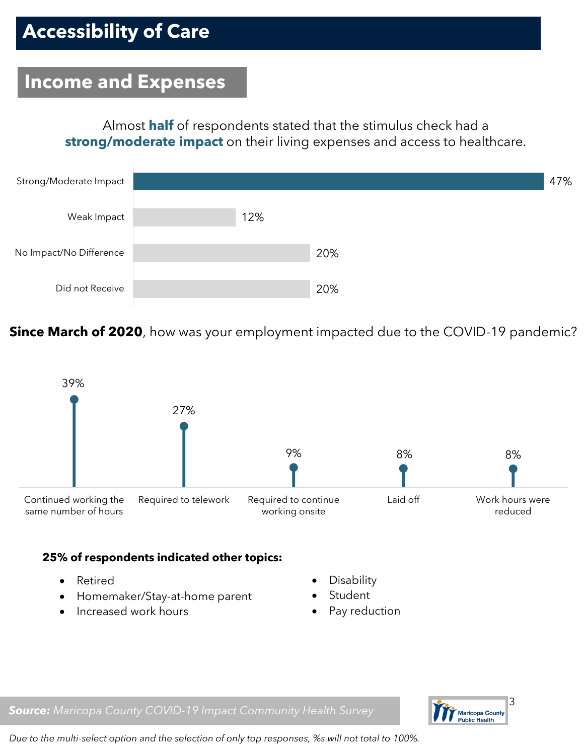#### **Income and Expenses**

Almost **half** of respondents stated that the stimulus check had a **strong/moderate impact** on their living expenses and access to healthcare.



**Since March of 2020**, how was your employment impacted due to the COVID-19 pandemic?



#### **25% of respondents indicated other topics:**

- Retired
- Homemaker/Stay-at-home parent
- Increased work hours
- Disability
- **Student**
- Pay reduction



*Source: Maricopa County COVID-19 Impact Community Health Survey*

*Due to the multi-select option and the selection of only top responses, %s will not total to 100%.*